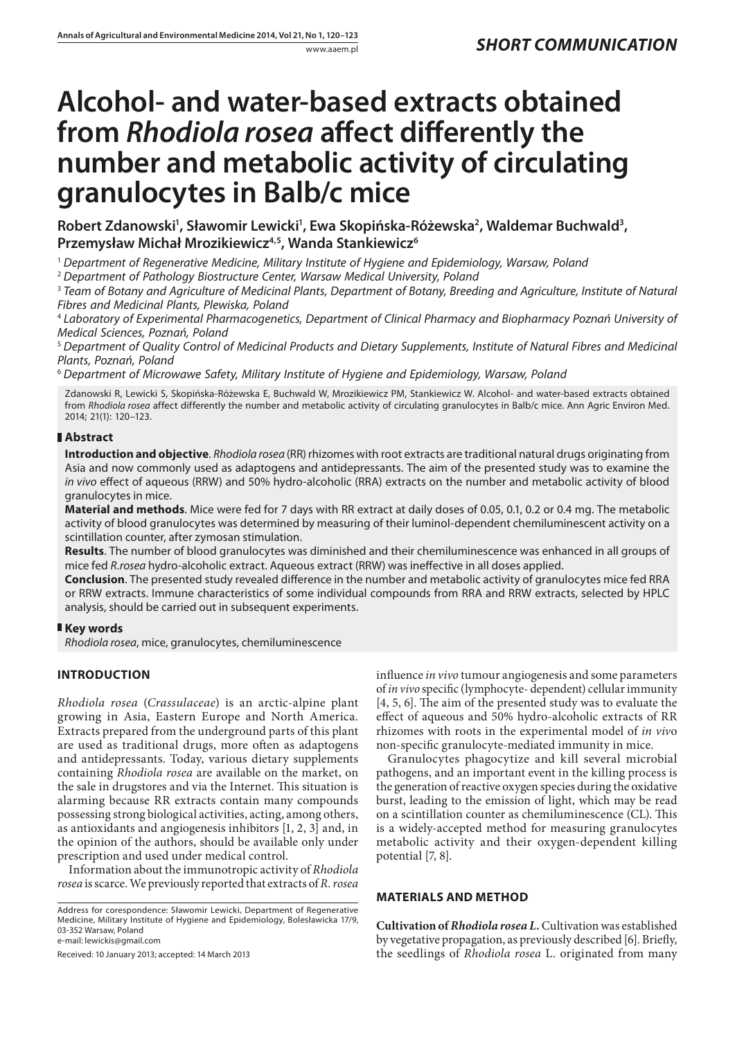# **Alcohol- and water-based extracts obtained from** *Rhodiola rosea* **affect differently the number and metabolic activity of circulating granulocytes in Balb/c mice**

Robert Zdanowski<sup>1</sup>, Sławomir Lewicki<sup>1</sup>, Ewa Skopińska-Różewska<sup>2</sup>, Waldemar Buchwald<sup>3</sup>, **Przemysław Michał Mrozikiewicz4,5, Wanda Stankiewicz6**

<sup>1</sup> *Department of Regenerative Medicine, Military Institute of Hygiene and Epidemiology, Warsaw, Poland*

<sup>2</sup> *Department of Pathology Biostructure Center, Warsaw Medical University, Poland*

<sup>3</sup> *Team of Botany and Agriculture of Medicinal Plants, Department of Botany, Breeding and Agriculture, Institute of Natural Fibres and Medicinal Plants, Plewiska, Poland*

<sup>4</sup> *Laboratory of Experimental Pharmacogenetics, Department of Clinical Pharmacy and Biopharmacy Poznań University of Medical Sciences, Poznań, Poland*

<sup>5</sup> *Department of Quality Control of Medicinal Products and Dietary Supplements, Institute of Natural Fibres and Medicinal Plants, Poznań, Poland*

<sup>6</sup> *Department of Microwawe Safety, Military Institute of Hygiene and Epidemiology, Warsaw, Poland*

Zdanowski R, Lewicki S, Skopińska-Różewska E, Buchwald W, Mrozikiewicz PM, Stankiewicz W. Alcohol- and water-based extracts obtained from *Rhodiola rosea* affect differently the number and metabolic activity of circulating granulocytes in Balb/c mice. Ann Agric Environ Med. 2014; 21(1): 120–123.

## **Abstract**

**Introduction and objective**. *Rhodiola rosea* (RR)rhizomes with root extracts are traditional natural drugs originating from Asia and now commonly used as adaptogens and antidepressants. The aim of the presented study was to examine the *in vivo* effect of aqueous (RRW) and 50% hydro-alcoholic (RRA) extracts on the number and metabolic activity of blood granulocytes in mice.

**Material and methods**. Mice were fed for 7 days with RR extract at daily doses of 0.05, 0.1, 0.2 or 0.4 mg. The metabolic activity of blood granulocytes was determined by measuring of their luminol-dependent chemiluminescent activity on a scintillation counter, after zymosan stimulation.

**Results**. The number of blood granulocytes was diminished and their chemiluminescence was enhanced in all groups of mice fed *R.rosea* hydro-alcoholic extract. Aqueous extract (RRW) was ineffective in all doses applied.

**Conclusion**. The presented study revealed difference in the number and metabolic activity of granulocytes mice fed RRA or RRW extracts. Immune characteristics of some individual compounds from RRA and RRW extracts, selected by HPLC analysis, should be carried out in subsequent experiments.

## **Key words**

*Rhodiola rosea*, mice, granulocytes, chemiluminescence

# **Introduction**

*Rhodiola rosea* (*Crassulaceae*) is an arctic-alpine plant growing in Asia, Eastern Europe and North America. Extracts prepared from the underground parts of this plant are used as traditional drugs, more often as adaptogens and antidepressants. Today, various dietary supplements containing *Rhodiola rosea* are available on the market, on the sale in drugstores and via the Internet. This situation is alarming because RR extracts contain many compounds possessing strong biological activities, acting, among others, as antioxidants and angiogenesis inhibitors [1, 2, 3] and, in the opinion of the authors, should be available only under prescription and used under medical control.

Information about the immunotropic activity of *Rhodiola rosea* is scarce. We previously reported that extracts of *R. rosea*

Address for corespondence: Sławomir Lewicki, Department of Regenerative Medicine, Military Institute of Hygiene and Epidemiology, Bolesławicka 17/9, 03-352 Warsaw, Poland

e-mail: lewickis@gmail.com

Received: 10 January 2013; accepted: 14 March 2013

influence *in vivo* tumour angiogenesis and some parameters of *in vivo* specific (lymphocyte- dependent) cellular immunity [4, 5, 6]. The aim of the presented study was to evaluate the effect of aqueous and 50% hydro-alcoholic extracts of RR rhizomes with roots in the experimental model of *in viv*o non-specific granulocyte-mediated immunity in mice.

Granulocytes phagocytize and kill several microbial pathogens, and an important event in the killing process is the generation of reactive oxygen species during the oxidative burst, leading to the emission of light, which may be read on a scintillation counter as chemiluminescence (CL). This is a widely-accepted method for measuring granulocytes metabolic activity and their oxygen-dependent killing potential [7, 8].

## **Materials And Method**

**Cultivation of** *Rhodiola rosea L.* Cultivation was established by vegetative propagation, as previously described [6]. Briefly, the seedlings of *Rhodiola rosea* L. originated from many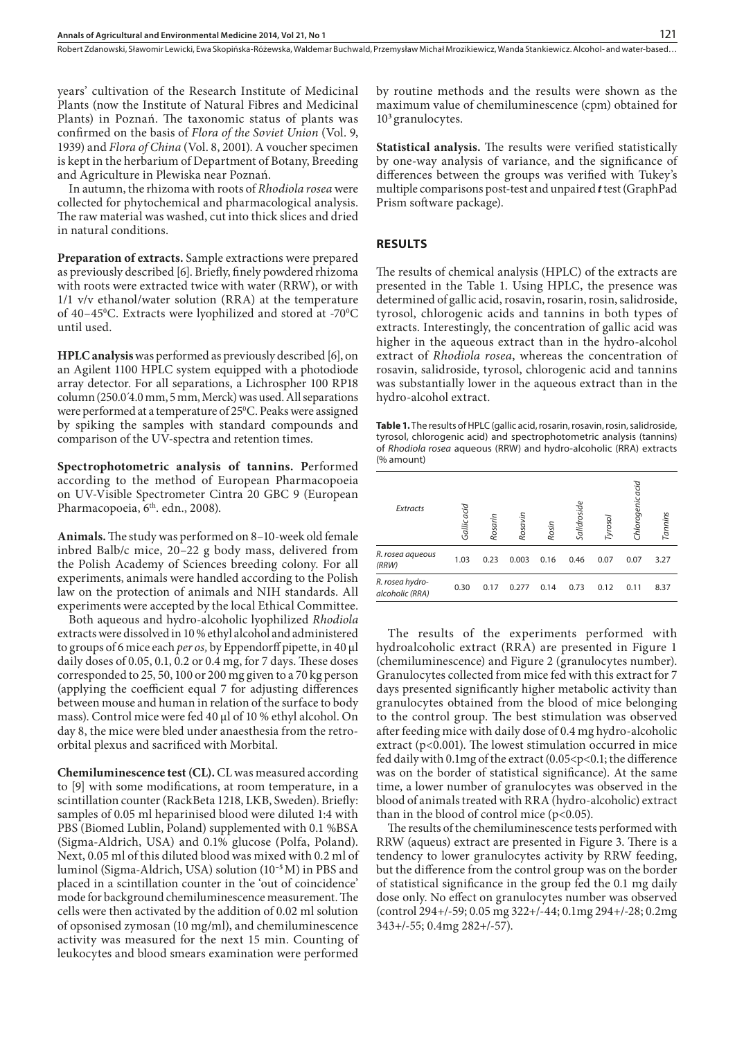Robert Zdanowski, Sławomir Lewicki, Ewa Skopińska-Różewska, Waldemar Buchwald, Przemysław Michał Mrozikiewicz, Wanda Stankiewicz . Alcohol- and water-based…

years' cultivation of the Research Institute of Medicinal Plants (now the Institute of Natural Fibres and Medicinal Plants) in Poznań. The taxonomic status of plants was confirmed on the basis of *Flora of the Soviet Union* (Vol. 9, 1939) and *Flora of China* (Vol. 8, 2001). A voucher specimen is kept in the herbarium of Department of Botany, Breeding and Agriculture in Plewiska near Poznań.

In autumn, the rhizoma with roots of *Rhodiola rosea* were collected for phytochemical and pharmacological analysis. The raw material was washed, cut into thick slices and dried in natural conditions.

**Preparation of extracts.** Sample extractions were prepared as previously described [6]. Briefly, finely powdered rhizoma with roots were extracted twice with water (RRW), or with 1/1 v/v ethanol/water solution (RRA) at the temperature of 40–45°C. Extracts were lyophilized and stored at -70°C until used.

**HPLC analysis** was performed as previously described [6], on an Agilent 1100 HPLC system equipped with a photodiode array detector. For all separations, a Lichrospher 100 RP18 column (250.0´4.0 mm, 5 mm, Merck) was used. All separations were performed at a temperature of 250 C. Peaks were assigned by spiking the samples with standard compounds and comparison of the UV-spectra and retention times.

**Spectrophotometric analysis of tannins. P**erformed according to the method of European Pharmacopoeia on UV-Visible Spectrometer Cintra 20 GBC 9 (European Pharmacopoeia, 6<sup>th</sup>. edn., 2008).

**Animals.** The study was performed on 8–10-week old female inbred Balb/c mice, 20–22 g body mass, delivered from the Polish Academy of Sciences breeding colony. For all experiments, animals were handled according to the Polish law on the protection of animals and NIH standards. All experiments were accepted by the local Ethical Committee.

Both aqueous and hydro-alcoholic lyophilized *Rhodiola*  extracts were dissolved in 10 % ethyl alcohol and administered to groups of 6 mice each *per os,* by Eppendorff pipette, in 40 μl daily doses of 0.05, 0.1, 0.2 or 0.4 mg, for 7 days. These doses corresponded to 25, 50, 100 or 200 mg given to a 70 kg person (applying the coefficient equal 7 for adjusting differences between mouse and human in relation of the surface to body mass). Control mice were fed 40 μl of 10 % ethyl alcohol. On day 8, the mice were bled under anaesthesia from the retroorbital plexus and sacrificed with Morbital.

**Chemiluminescence test (CL).** CL was measured according to [9] with some modifications, at room temperature, in a scintillation counter (RackBeta 1218, LKB, Sweden). Briefly: samples of 0.05 ml heparinised blood were diluted 1:4 with PBS (Biomed Lublin, Poland) supplemented with 0.1 %BSA (Sigma-Aldrich, USA) and 0.1% glucose (Polfa, Poland). Next, 0.05 ml of this diluted blood was mixed with 0.2 ml of luminol (Sigma-Aldrich, USA) solution (10**–5** M) in PBS and placed in a scintillation counter in the 'out of coincidence' mode for background chemiluminescence measurement. The cells were then activated by the addition of 0.02 ml solution of opsonised zymosan (10 mg/ml), and chemiluminescence activity was measured for the next 15 min. Counting of leukocytes and blood smears examination were performed

by routine methods and the results were shown as the maximum value of chemiluminescence (cpm) obtained for 10**<sup>3</sup>**granulocytes.

**Statistical analysis.** The results were verified statistically by one-way analysis of variance, and the significance of differences between the groups was verified with Tukey's multiple comparisons post-test and unpaired *t* test (GraphPad Prism software package).

### **Results**

The results of chemical analysis (HPLC) of the extracts are presented in the Table 1. Using HPLC, the presence was determined of gallic acid, rosavin, rosarin, rosin, salidroside, tyrosol, chlorogenic acids and tannins in both types of extracts. Interestingly, the concentration of gallic acid was higher in the aqueous extract than in the hydro-alcohol extract of *Rhodiola rosea*, whereas the concentration of rosavin, salidroside, tyrosol, chlorogenic acid and tannins was substantially lower in the aqueous extract than in the hydro-alcohol extract.

**Table 1.** The results of HPLC (gallic acid, rosarin, rosavin, rosin, salidroside, tyrosol, chlorogenic acid) and spectrophotometric analysis (tannins) of *Rhodiola rosea* aqueous (RRW) and hydro-alcoholic (RRA) extracts (% amount)

| Extracts                           | Gallic acid | Rosarin | Rosavin | Rosin | Salidroside | Tyrosol | Chlorogenic acid | Tannins |
|------------------------------------|-------------|---------|---------|-------|-------------|---------|------------------|---------|
| R. rosea aqueous<br>(RRW)          | 1.03        | 0.23    | 0.003   | 0.16  | 0.46        | 0.07    | 0.07             | 3.27    |
| R. rosea hydro-<br>alcoholic (RRA) | 0.30        | 0.17    | 0.277   | 0.14  | 0.73        | 0.12    | 0.11             | 8.37    |

The results of the experiments performed with hydroalcoholic extract (RRA) are presented in Figure 1 (chemiluminescence) and Figure 2 (granulocytes number). Granulocytes collected from mice fed with this extract for 7 days presented significantly higher metabolic activity than granulocytes obtained from the blood of mice belonging to the control group. The best stimulation was observed after feeding mice with daily dose of 0.4 mg hydro-alcoholic extract (p<0.001). The lowest stimulation occurred in mice fed daily with 0.1mg of the extract (0.05<p<0.1; the difference was on the border of statistical significance). At the same time, a lower number of granulocytes was observed in the blood of animals treated with RRA (hydro-alcoholic) extract than in the blood of control mice  $(p<0.05)$ .

The results of the chemiluminescence tests performed with RRW (aqueus) extract are presented in Figure 3. There is a tendency to lower granulocytes activity by RRW feeding, but the difference from the control group was on the border of statistical significance in the group fed the 0.1 mg daily dose only. No effect on granulocytes number was observed (control 294+/-59; 0.05 mg 322+/-44; 0.1mg 294+/-28; 0.2mg 343+/-55; 0.4mg 282+/-57).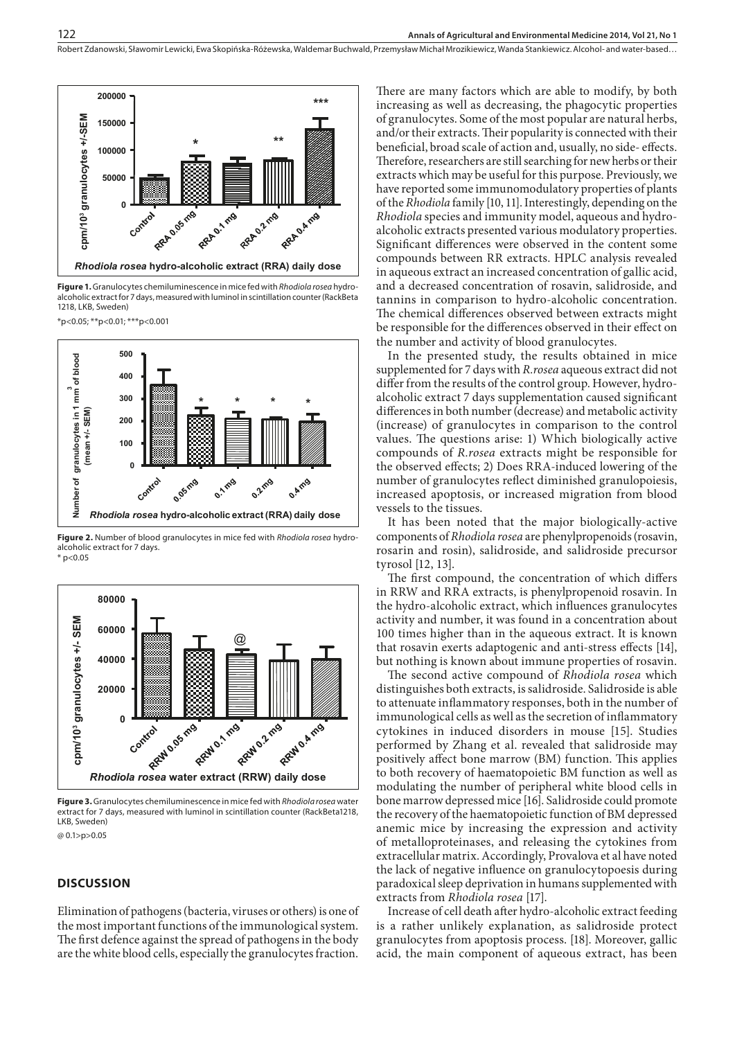Robert Zdanowski, Sławomir Lewicki, Ewa Skopińska-Różewska, Waldemar Buchwald, Przemysław Michał Mrozikiewicz, Wanda Stankiewicz . Alcohol- and water-based…



**Figure 1.** Granulocytes chemiluminescence in mice fed with *Rhodiola rosea* hydroalcoholic extract for 7 days, measured with luminol in scintillation counter (RackBeta 1218, LKB, Sweden)

\*p<0.05; \*\*p<0.01; \*\*\*p<0.001



**Figure 2.** Number of blood granulocytes in mice fed with *Rhodiola rosea* hydroalcoholic extract for 7 days.  $*$  p<0.05



**Figure 3.** Granulocytes chemiluminescence in mice fed with *Rhodiola rosea* water extract for 7 days, measured with luminol in scintillation counter (RackBeta1218, LKB, Sweden) @ 0.1>p>0.05

#### **Discussion**

Elimination of pathogens (bacteria, viruses or others) is one of the most important functions of the immunological system. The first defence against the spread of pathogens in the body are the white blood cells, especially the granulocytes fraction.

There are many factors which are able to modify, by both increasing as well as decreasing, the phagocytic properties of granulocytes. Some of the most popular are natural herbs, and/or their extracts. Their popularity is connected with their beneficial, broad scale of action and, usually, no side- effects. Therefore, researchers are still searching for new herbs or their extracts which may be useful for this purpose. Previously, we have reported some immunomodulatory properties of plants of the *Rhodiola* family [10, 11]. Interestingly, depending on the *Rhodiola* species and immunity model, aqueous and hydroalcoholic extracts presented various modulatory properties. Significant differences were observed in the content some compounds between RR extracts. HPLC analysis revealed in aqueous extract an increased concentration of gallic acid, and a decreased concentration of rosavin, salidroside, and tannins in comparison to hydro-alcoholic concentration. The chemical differences observed between extracts might be responsible for the differences observed in their effect on the number and activity of blood granulocytes.

In the presented study, the results obtained in mice supplemented for 7 days with *R.rosea* aqueous extract did not differ from the results of the control group. However, hydroalcoholic extract 7 days supplementation caused significant differences in both number (decrease) and metabolic activity (increase) of granulocytes in comparison to the control values. The questions arise: 1) Which biologically active compounds of *R.rosea* extracts might be responsible for the observed effects; 2) Does RRA-induced lowering of the number of granulocytes reflect diminished granulopoiesis, increased apoptosis, or increased migration from blood vessels to the tissues.

It has been noted that the major biologically-active components of *Rhodiola rosea* are phenylpropenoids (rosavin, rosarin and rosin), salidroside, and salidroside precursor tyrosol [12, 13].

The first compound, the concentration of which differs in RRW and RRA extracts, is phenylpropenoid rosavin. In the hydro-alcoholic extract, which influences granulocytes activity and number, it was found in a concentration about 100 times higher than in the aqueous extract. It is known that rosavin exerts adaptogenic and anti-stress effects [14], but nothing is known about immune properties of rosavin.

The second active compound of *Rhodiola rosea* which distinguishes both extracts, is salidroside. Salidroside is able to attenuate inflammatory responses, both in the number of immunological cells as well as the secretion of inflammatory cytokines in induced disorders in mouse [15]. Studies performed by Zhang et al. revealed that salidroside may positively affect bone marrow (BM) function. This applies to both recovery of haematopoietic BM function as well as modulating the number of peripheral white blood cells in bone marrow depressed mice [16]. Salidroside could promote the recovery of the haematopoietic function of BM depressed anemic mice by increasing the expression and activity of metalloproteinases, and releasing the cytokines from extracellular matrix. Accordingly, Provalova et al have noted the lack of negative influence on granulocytopoesis during paradoxical sleep deprivation in humans supplemented with extracts from *Rhodiola rosea* [17].

Increase of cell death after hydro-alcoholic extract feeding is a rather unlikely explanation, as salidroside protect granulocytes from apoptosis process. [18]. Moreover, gallic acid, the main component of aqueous extract, has been